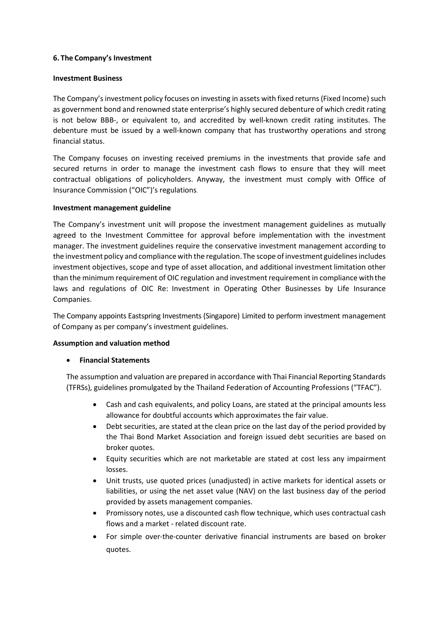# **6. The Company's Investment**

## **Investment Business**

The Company's investment policy focuses on investing in assets with fixed returns (Fixed Income) such as government bond and renowned state enterprise's highly secured debenture of which credit rating is not below BBB-, or equivalent to, and accredited by well-known credit rating institutes. The debenture must be issued by a well-known company that has trustworthy operations and strong financial status.

The Company focuses on investing received premiums in the investments that provide safe and secured returns in order to manage the investment cash flows to ensure that they will meet contractual obligations of policyholders. Anyway, the investment must comply with Office of Insurance Commission ("OIC")'s regulations.

## **Investment management guideline**

The Company's investment unit will propose the investment management guidelines as mutually agreed to the Investment Committee for approval before implementation with the investment manager. The investment guidelines require the conservative investment management according to the investment policy and compliance with the regulation. The scope of investment guidelines includes investment objectives, scope and type of asset allocation, and additional investment limitation other than the minimum requirement of OIC regulation and investment requirement in compliance withthe laws and regulations of OIC Re: Investment in Operating Other Businesses by Life Insurance Companies.

The Company appoints Eastspring Investments (Singapore) Limited to perform investment management of Company as per company's investment guidelines.

## **Assumption and valuation method**

## • **Financial Statements**

The assumption and valuation are prepared in accordance with Thai Financial Reporting Standards (TFRSs), guidelines promulgated by the Thailand Federation of Accounting Professions ("TFAC").

- Cash and cash equivalents, and policy Loans, are stated at the principal amounts less allowance for doubtful accounts which approximates the fair value.
- Debt securities, are stated atthe clean price on the last day of the period provided by the Thai Bond Market Association and foreign issued debt securities are based on broker quotes.
- Equity securities which are not marketable are stated at cost less any impairment losses.
- Unit trusts, use quoted prices (unadjusted) in active markets for identical assets or liabilities, or using the net asset value (NAV) on the last business day of the period provided by assets management companies.
- Promissory notes, use a discounted cash flow technique, which uses contractual cash flows and a market - related discount rate.
- For simple over-the-counter derivative financial instruments are based on broker quotes.